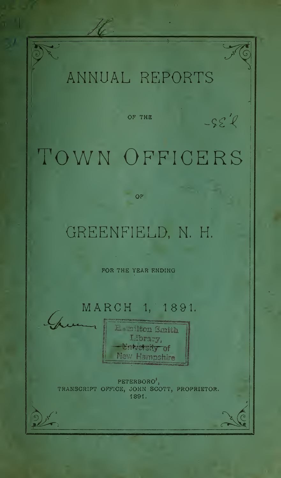## $\frac{1}{2}$ ANNUAL REPORTS

OF THE  $-SZ'Q$ 

# TOWN Officers

## GREENFIELD, N. H,

OF

FOR THE YEAR ENDING

MARCH 1, 1891.



PETERBORO', TRANSCRIPT OFFICE, JOHN SCOTT, PROPRIETOR. 1891.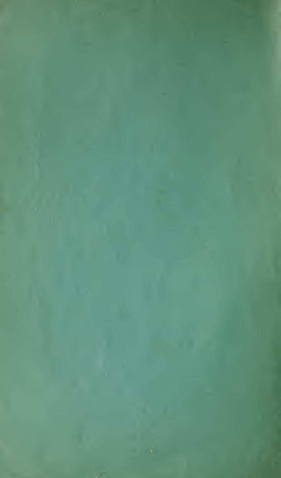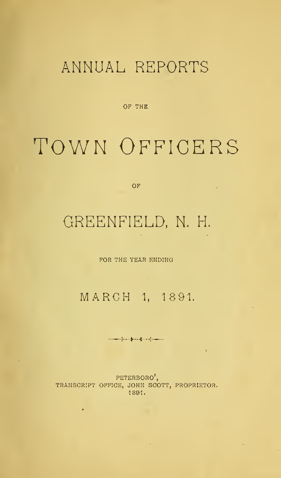## ANNUAL REPORTS

OF THE

## TOWN OFFICERS

OF

## GREENFIELD, N. H,

FOR THE YEAR ENDING

MARCH 1, 1891.

 $\longrightarrow$   $\longrightarrow$   $\longrightarrow$   $\longrightarrow$   $\longrightarrow$   $\longrightarrow$ 

 $\Lambda$  .

 $\bar{z}$ 

PETERBORO<sup>3</sup>, TRANSCRIPT OFFICE, JOHN SCOTT, PROPRIETOR. 1891.

 $\mathcal{L}^{\text{max}}$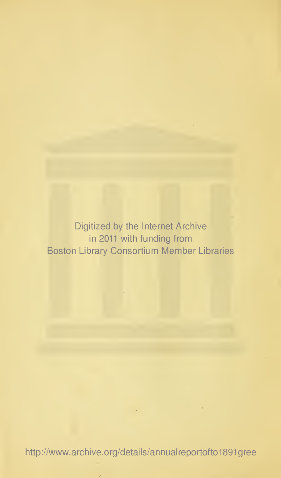Digitized by the Internet Archive in 2011 with funding from Boston Library Consortium Member Libraries

http://www.archive.org/details/annualreportofto1891gree

×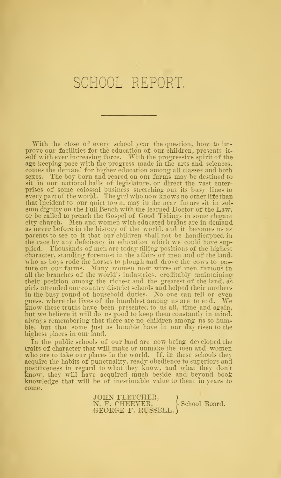### SCHOOL REPORT.

With the close of every school year the question, how to im prove our facilities for the education of our children, presents it self with ever increasing force. With the progressive spirit of the age keeping pace with the progress made in the arts and sciences, comes the demand for higher education among aU classes and both sexes. The boy bom and reared on our farms may be destined to sit in our national halls of legislature, or direct the vast enter-prises of some colossal business stretching out its busy lines to every part of the world. The girl who now knows no other life than that incident to our quiet town, may in the near future sit in sol- emn dignity on the FuU Bench with the learned Doctor of the Law, or be called to preach the Gospel of Good Tidings in some elegant city church. Men and women with educated brains are in demand as never before in the history of the world, and it becomes us as parents to see to it that our children shall not be handicapped in the race by any deficiency in education which we could have supplied. Thousands of men are today filling positions of the highest character, standing foremost in the affairs of men and of the land, who as boys rode the horses to plough and drove the cows to pas ture on our farms. Many women now wives of men famous in all the branches of the world's industries, creditably maintaining their position among the richest and the greatest of the land, as girls attended our coimtry district schools and helped their mothers in the busy round of household duties. Xo one can tell or even guess, where the lives of the humblest among us are to end. We know these truths have been presented to us all, time and again, but we believe it will do us good to keep them constantly in mind, always remembering that there are no children among us so humble, but that some just as humble have in our day risen to the highest places in our land.

In the public schools of our land are now being developed the traits of character that will make or unmake the men and women who are to take our places in the world. If, in these schools they acquire the habits of punctuality, ready obedience to superiors and positiveness in regard to what they know, and what they don't know, they will have acquired much beside and beyond book knowledge that will be of inestimable value to them in years to come.

> JOHN FLETCHER,<br>N. F. CHEEVER, School Board. GEORGE F. RUSSELL.)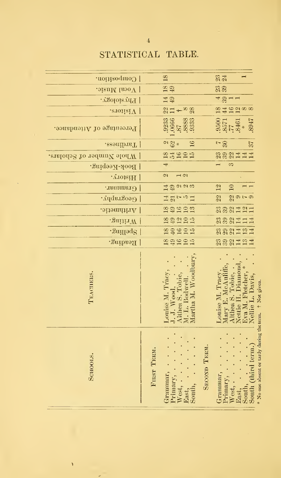### STATISTICAL TABLE.

| Composition.                     | 18                                                                                           | 234                                                                                                                      |
|----------------------------------|----------------------------------------------------------------------------------------------|--------------------------------------------------------------------------------------------------------------------------|
| , veal Music.                    | $\frac{18}{49}$                                                                              | $\frac{33}{39}$                                                                                                          |
| Physiology.                      | $\frac{4}{49}$                                                                               | $\frac{4}{33}$ $-1$                                                                                                      |
| . erotisi $\mathrm{V}$           | 22<br>$\frac{8}{8}$                                                                          | 18<br>4.9288                                                                                                             |
| Percentage of Attendance.        | $\frac{87}{3333}$<br>.0666<br>.9233                                                          | $\begin{array}{r} 19500 \\ 1265 \\ 1750 \\ 0066 \end{array}$<br>3947                                                     |
| Tardiness.                       | 28<br>$16\phantom{.}$<br>$\ast$                                                              | $\frac{6}{30}$<br>37                                                                                                     |
| $\mid$ Whole Number of Scholars. | 3225<br>18                                                                                   | 14<br>20214<br>2021                                                                                                      |
| Book-Keeping.                    | 4                                                                                            | ၹ<br>$\overline{ }$                                                                                                      |
| History.                         | S,<br>$\overline{\phantom{0}}$                                                               |                                                                                                                          |
| Grammar.                         | $49$<br>200<br>14                                                                            | $^{22}$<br>$\overline{10}$                                                                                               |
| Geography.                       | 21<br>$75 - 7$                                                                               | 22<br>$\frac{1}{20}$<br>G                                                                                                |
| Arithmetic.                      | 2922<br>18                                                                                   | <b>aaanan</b>                                                                                                            |
| .gaitir $W\mid$                  | 299229                                                                                       | 2321112<br>2321112<br>14                                                                                                 |
| Spelling.                        | 9995<br>18                                                                                   | <b>aaada</b><br>14                                                                                                       |
| Reading.                         | 19999                                                                                        | asaran                                                                                                                   |
| TEACHERS.                        | $N$ oodbur<br>Louise M. Tracy<br>J. J. Wood,<br>Althea S. Tobic<br>M. L. Bodwel<br>Martha M. | Diamor<br>Mary E. McAuli<br>Tobie.<br>Louise M. Tracy<br>Fletcher<br>Nellie L. Davis<br>Althea S.<br>Nettie 1<br>$Eva$ M |
| SCHOOLS.                         | SECOND TERM.<br>FIRST TERM.<br>Grannnar,<br>Primary<br>West,<br>South<br>East,               | South (third term.<br>Grammar,<br>Primar<br>West,<br>South<br>East,                                                      |

\* No one absent or tardy during the term. + Not given.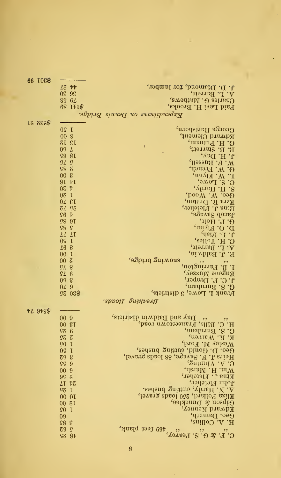| $00 \text{ }$ &                                                              | $F$ dward Clement,                       |
|------------------------------------------------------------------------------|------------------------------------------|
| <b>73 72</b>                                                                 | G. H. Putnam,                            |
| 0 <sup>o</sup><br>$\mathcal{L}$                                              | $\mathbf{\hat{z}}$<br>R. B. Starrett,    |
| <b>99 81</b>                                                                 | $J. H.$ Day,                             |
| 9L<br>$\mathcal{G}$                                                          |                                          |
| 98Z                                                                          | W. F. Russell,<br>G. W. French,          |
| $00 \text{ } \text{ }^{\text{}}\text{ }^{\text{}}\text{ }^{\text{}}\text{ }$ | $\Gamma^*$ M. Elynn,                     |
| $8I$ $E$                                                                     | C. S. Lowe,                              |
| $0\overline{6}$ $\overline{v}$                                               | . H. Hardy,                              |
| $0\overline{6}$ I                                                            | Geo. W. Wood,                            |
| 02 SI                                                                        | Ezra R. Dutton,                          |
|                                                                              |                                          |
| <u>ZL 9Z</u>                                                                 | Etna J. Fletcher,                        |
| 96F                                                                          | Jacob Savage,                            |
| <b>GS 91</b>                                                                 | G. P. Holt,                              |
| 98 <sub>9</sub>                                                              | D. O. Flyinn,                            |
| 22L                                                                          | T F Eisp                                 |
| 09 <sub>l</sub>                                                              |                                          |
| <b>L6 8</b>                                                                  | C. H. Tolles,<br>A. L. Barrett,          |
| 00 <sub>l</sub>                                                              | R. J. Baldwin,                           |
| 00Z                                                                          | snowing pridge,<br>,,                    |
| 9L8                                                                          | I. B. Farrington,                        |
| 9L <sub>6</sub>                                                              | Eugene Muzey,                            |
| 09 <sub>8</sub>                                                              | T C. P. Draper,                          |
| 029                                                                          | G. S. Burnham,                           |
| <b>230 S2</b>                                                                | Frank I. Lowe, 3 districts,              |
|                                                                              | Breaking Roads.                          |
|                                                                              |                                          |
| \$                                                                           |                                          |
| 00 9                                                                         | Day and Baldwin districts,<br>, , ,<br>, |
| 00 SI                                                                        | H. C. Bills, Francestown road,           |
| 9766                                                                         | G. S. Burnham,                           |
| 975                                                                          | E. K. Warren,                            |
| 90 <sub>l</sub>                                                              | Wesley M. Ford,                          |
|                                                                              |                                          |
| 09 <sub>l</sub>                                                              |                                          |
| 898                                                                          | Geo. D. Gould, cutting bushes,           |
| gg <sub>9</sub>                                                              | Heirs J. F. Savage, 88 loads gravel,     |
|                                                                              | $C.A.$ Vinning,                          |
| 009<br>99Z                                                                   | Wm. H. Marsh,                            |
|                                                                              | Etna J. Fletcher,                        |
| $2I$ $E$                                                                     | $1$ opu Eletcher,                        |
| 97 I                                                                         | A. N. Hardy, cutting bushes.             |
| 0000                                                                         | Eliza Pollard, 250 loads gravel,         |
| 00ZI                                                                         | Gipson & Duncklee,                       |
| <b>90 I</b>                                                                  | Каппе Кеппеу,                            |
| 09                                                                           | Geo. Damuth,                             |
| 989                                                                          | H. A. Collins,                           |
| 59 <sub>g</sub><br><b>97 87</b>                                              | C. F. & G. S. Peavey, 469 feet plank,    |

66 108\$

13 383\$

FL 9F8

 $00 \text{ }$  &

|      | 28F     | J. D. Diamond, for lumber,     |
|------|---------|--------------------------------|
|      | 98 98   | $A. L.$ Barrett,               |
|      | 896L    | Charles $G$ . Mathews,         |
|      | 68 IFIS | Paid Levi H. Brooks,           |
|      |         | Brpenditures on Dennis Bridge. |
|      |         |                                |
| 09 I |         | George Hartshorn,              |

Edward Clement,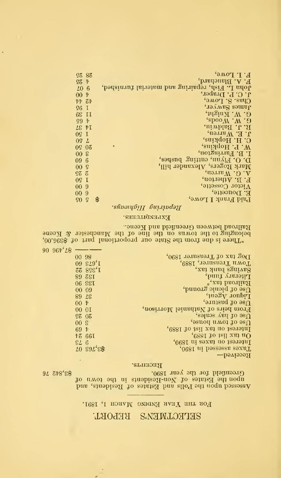#### SELECTMEN'S REPORT.

#### FOR THE YEAR ENDING MARCH 1, 1891.

92 378'8\$

#### RECEIPTS.

| 90 $965^{\circ}$ $2\$ |               |                                                |
|-----------------------|---------------|------------------------------------------------|
|                       | 00 98         | $100$ g tax of Treasurer 1890,                 |
|                       | 09 829'I      | Town Treasnrer, 1889,<br>Town Treasnrer, 1889, |
|                       | I'328 33      |                                                |
|                       | 89 ZSI        | <b>Piterary fund,</b>                          |
|                       | 06 88I        | Railroad tax,*                                 |
|                       | 00 09         | Use of picnic ground,                          |
|                       | 89 LS         | Liquor Agent,                                  |
|                       | $00 \t{t}$    | $\Omega$ or beature,                           |
|                       | 00 OI         | From heirs of Nathaniel Morrison,              |
|                       | \$703         | Use of hay scales,                             |
|                       | 900           | <b>Case of town house,</b>                     |
|                       | $69 \t{F}$    | Interest on tax list of 1889,                  |
|                       | <b>78 661</b> | $On$ tax list of 1889,                         |
|                       | 826           | Interest on taxes in 1890,                     |
|                       | 20 892'8\$    | ,0081 iii bəssəssa səxaT                       |
|                       |               | $\rm{H}$ eceived—                              |

Railroad between Greenfield and Keene.<br>belonging to the towns on the line of the Manchester  $\&$  Keene<br>belonging to the towns on the line of the Manchester  $\&$  Keene

#### **EXPENDITURES.**

#### $\emph{-} \emph{shmup}$   $\emph{H}$   $\emph{bunup}$

| 97, 87                              | F. I. LOWe,                                     |
|-------------------------------------|-------------------------------------------------|
| 97.7                                | F. A. Blanchard,                                |
| $20\,6$                             | John L. Fish, repairing and material furnished, |
| $00 \pm$                            | $J, C, P,$ Draper,                              |
| $\bar{\nu}$ $\bar{\nu}$ $\bar{\nu}$ | Chas. S. Lowe,                                  |
| 96 I                                | James Sawyer,                                   |
| 68 II                               | G. W. Knight,                                   |
| 99F                                 | G. W. Woods,                                    |
| <b>LS FI</b>                        | R. J. Baldwin,                                  |
| 09L                                 | $J. E. W$ arren,                                |
| 09L                                 | C. H. Hopkins,                                  |
| 0908                                | W. P. Hopkins,<br>¢                             |
| $00 \text{ g}$                      | I. B. Farrington,                               |
| 096                                 | D. O. Flynn, cutting bushes,                    |
| 00 <sub>g</sub>                     | Mark Rogers, Alexander hill,                    |
| 97.7                                | A. G. Warren,                                   |
| $0G$ I                              | F. B. Atherton,                                 |
| 00.9                                | $\Lambda$ ictor Cosette,                        |
| 009                                 | E. Doucette,                                    |
| \$<br>90 <sub>9</sub>               | Paid Frank I Lowe,                              |
|                                     |                                                 |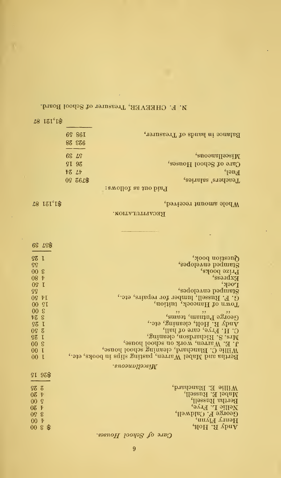| $\text{``ssnoff}$ 100108 to $\text{''}$ |  |  |  |
|-----------------------------------------|--|--|--|
|                                         |  |  |  |

|                                | $\cdot$ snoə $uv$ pəəsi $w$            |
|--------------------------------|----------------------------------------|
| GI 97\$                        |                                        |
| 97 <sub>5</sub>                | Willie E. Blanchard,                   |
| $0\overline{6}$ $\overline{v}$ | Mabel E. Russell,                      |
| 00 <sub>g</sub>                | Bertha Russell,                        |
| $0\mathcal{Z}$ $\bar{\nu}$     | Nellie L. Frye,<br>George F. Caldwell, |
| 09 <sub>8</sub><br>$00 \t b$   | Henry Flynn,                           |
| $00 \&$ $\&$                   | Y                                      |

| onestion book,                                         | 98 I            |
|--------------------------------------------------------|-----------------|
| Stamped envelopes,                                     | 99              |
| Prize books,                                           | 900             |
| Fxpress'                                               | 08 ∌            |
| Lock,                                                  | 09 <sub>l</sub> |
| Stamped envelopes,                                     | $Q\bar Q$       |
| G. F. Russell, lumber for repairs, etc.,               | 09 FI           |
| Town of Hancock, tuition,                              | 00 GI           |
| , ,<br>, ,                                             | 900             |
| George Putnam, teams,                                  | F3 S            |
| Andy R. Holt, cleaning, etc.,                          | GZ I            |
| $C$ . H. Frye, care of hall,                           | 09 Z            |
| Mrs. S. Richardson, cleaning,                          | 97 I            |
| J. E. Warren, work on school house,                    | 9 OO            |
| Willie C. Blanchard, cleaning school house,            | 00 I            |
| Bertha and Mabel Warren, pasting slips in books, etc., | 00 I            |
|                                                        |                 |

#### RECAPITULATION.

*L***8 IZI'I\$** 

68 29\$

 $\frac{1}{28}$ 

Whole amount received,

÷

Balance in hands of Treasurer,

| Paid ont as follows: |  |  |  |
|----------------------|--|--|--|
|                      |  |  |  |

| Miscellaneous,            |
|---------------------------|
| Care of School Houses,    |
| $^{\circ}$ Tən, $\bar{H}$ |
| Teachers' salaries,       |
|                           |

 $28$   $171'1$ \$

69 86I

 $\bar{\beta}$ N. F. CHEEVER, Treasurer of School Board.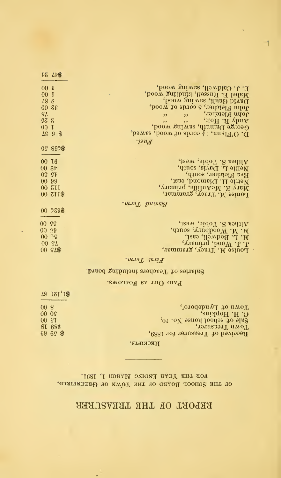#### REPORT OF THE TREASURER

۸

#### гов лнв Хвая Емоич Макси 1, 1891. ов лнг gcноог рочию ов лнг домм ов Сивеманего\*

#### RECEIPTS.

| 18 171 81              |                                 |
|------------------------|---------------------------------|
| 008                    | Томп от Глиерого,               |
| 0000                   | $C.H.$ Hopkins,                 |
| $00 \text{ } \text{ }$ | Sale of school house No. 10,    |
| 81 686                 | Томп Тгеавитег,                 |
| $6969$ \$              | Received of Treasurer for 1889, |
|                        |                                 |

#### PAID OUT AS FOLLOWS.

#### Salaries of Teachers including board.

#### First Term.

| 00 <sub>l</sub>   |                     | E. J. Caldwell, sawing wood,                                                                                                                                                                                                                                                                      |
|-------------------|---------------------|---------------------------------------------------------------------------------------------------------------------------------------------------------------------------------------------------------------------------------------------------------------------------------------------------|
|                   |                     |                                                                                                                                                                                                                                                                                                   |
| 00 <sub>1</sub>   |                     | Mabel E. Russell, kindling wood,                                                                                                                                                                                                                                                                  |
| $28\,7$           |                     | David Gault, sawing wood,                                                                                                                                                                                                                                                                         |
| 00 78             |                     | John Fletcher, 8 cords of wood,                                                                                                                                                                                                                                                                   |
| $\mathcal{Q}$     |                     | John Fletcher, "                                                                                                                                                                                                                                                                                  |
| 975               |                     | $\frac{1}{2}$ with $\frac{1}{2}$ if $\frac{1}{2}$ if $\frac{1}{2}$ if $\frac{1}{2}$ if $\frac{1}{2}$ if $\frac{1}{2}$ if $\frac{1}{2}$ if $\frac{1}{2}$ if $\frac{1}{2}$ if $\frac{1}{2}$ if $\frac{1}{2}$ if $\frac{1}{2}$ if $\frac{1}{2}$ if $\frac{1}{2}$ if $\frac{1}{2}$ if $\frac{1}{2}$ i |
| 00 <sub>1</sub>   |                     | George Dannth, sawing wood,                                                                                                                                                                                                                                                                       |
|                   |                     |                                                                                                                                                                                                                                                                                                   |
|                   | $289$ $\frac{6}{3}$ | D. O'Flynn, 1 <sub>2</sub> cords of wood, sawed,                                                                                                                                                                                                                                                  |
|                   |                     | $\cdot$ pan $_H$                                                                                                                                                                                                                                                                                  |
|                   | 09 8978             |                                                                                                                                                                                                                                                                                                   |
|                   |                     |                                                                                                                                                                                                                                                                                                   |
| 0016              |                     | Althea S. Tobie, west,                                                                                                                                                                                                                                                                            |
| 00Zb              |                     | Nellie L. Davis, south,                                                                                                                                                                                                                                                                           |
| 09 <sub>9</sub>   |                     | Eva Fletcher, south,                                                                                                                                                                                                                                                                              |
| 00 99             |                     |                                                                                                                                                                                                                                                                                                   |
|                   |                     | Nettie H. Diamond, east,                                                                                                                                                                                                                                                                          |
|                   | 00 ZII              | Mary E. McAuliffe, primary,                                                                                                                                                                                                                                                                       |
|                   | 00 711\$            | Louise M. Tracy, grammar,                                                                                                                                                                                                                                                                         |
|                   |                     | $\cdot$ uta $L$ puo $\partial S$                                                                                                                                                                                                                                                                  |
|                   |                     |                                                                                                                                                                                                                                                                                                   |
|                   | 00 778\$            |                                                                                                                                                                                                                                                                                                   |
|                   |                     |                                                                                                                                                                                                                                                                                                   |
| $00 \, \text{gg}$ |                     | Althea S. Tobic, west,                                                                                                                                                                                                                                                                            |
| $00 \, \Omega$    |                     | M. M. Woodbury, south,                                                                                                                                                                                                                                                                            |
| $00 \t{F}$        |                     | M. L. Bodwell, east,                                                                                                                                                                                                                                                                              |
| $00 \Omega$       |                     | J. J. Wood, primary,                                                                                                                                                                                                                                                                              |
|                   | $00\,$ $92\,$       | Louise M. Tracy, grammar,                                                                                                                                                                                                                                                                         |
|                   |                     |                                                                                                                                                                                                                                                                                                   |

F3 LF\$

 $\frac{\alpha}{3}$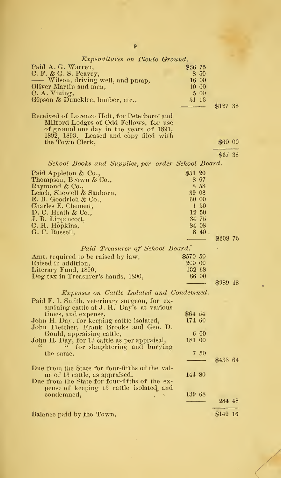| Paid A. G. Warren,<br>\$36 75<br>8 50<br>16 00<br>Oliver Martin and men,<br>10 00<br>C. A. Vining,<br>5 00<br>Gipson & Duncklee, lumber, etc.,<br>51 13<br>$$127$ 38<br>Milford Lodges of Odd Fellows, for use<br>of ground one day in the years of 1891,<br>1892, 1893. Leased and copy filed with<br>the Town Clerk,<br>\$60 00<br>\$67 38<br>School Books and Supplies, per order School Board.<br>\$51 20<br>8 67<br>8 58<br>39 08<br>60 00<br>1 50<br>Charles E. Clement,<br>12 50<br>D. C. Heath & Co.,<br>J. B. Lippincott,<br>34 75<br>C. H. Hopkins,<br>84 08<br>840.<br>G. F. Russell,<br>\$308 76<br>Paid Treasurer of School Board.<br>\$570 50<br><b>200 00</b><br>132 68<br>86 00<br>\$989 18<br><i>Expenses on Cattle Isolated and Condemned.</i><br>amining cattle at J. H. Day's at various<br>\$64 54<br>times, and expense,<br>174 60<br>John H. Day, for keeping cattle isolated,<br>John Fletcher, Frank Brooks and Geo. D.<br>Gould, appraising cattle,<br>600<br>John H. Day, for 13 cattle as per appraisal,<br>181 00<br>$\epsilon$<br>" for slaughtering and burying<br>7 50<br>the same,<br>\$433 64<br>Due from the State for four-fifths of the val-<br>144 80<br>ue of 13 cattle, as appraised,<br>Due from the State for four-fifths of the ex-<br>pense of keeping 13 cattle isolated and<br>condemned,<br>139 68<br>284 48<br>\$149 16 | <i>Expenditures on Picnic Ground.</i>         |  |  |
|-------------------------------------------------------------------------------------------------------------------------------------------------------------------------------------------------------------------------------------------------------------------------------------------------------------------------------------------------------------------------------------------------------------------------------------------------------------------------------------------------------------------------------------------------------------------------------------------------------------------------------------------------------------------------------------------------------------------------------------------------------------------------------------------------------------------------------------------------------------------------------------------------------------------------------------------------------------------------------------------------------------------------------------------------------------------------------------------------------------------------------------------------------------------------------------------------------------------------------------------------------------------------------------------------------------------------------------------------------------------------|-----------------------------------------------|--|--|
|                                                                                                                                                                                                                                                                                                                                                                                                                                                                                                                                                                                                                                                                                                                                                                                                                                                                                                                                                                                                                                                                                                                                                                                                                                                                                                                                                                         |                                               |  |  |
|                                                                                                                                                                                                                                                                                                                                                                                                                                                                                                                                                                                                                                                                                                                                                                                                                                                                                                                                                                                                                                                                                                                                                                                                                                                                                                                                                                         |                                               |  |  |
|                                                                                                                                                                                                                                                                                                                                                                                                                                                                                                                                                                                                                                                                                                                                                                                                                                                                                                                                                                                                                                                                                                                                                                                                                                                                                                                                                                         |                                               |  |  |
|                                                                                                                                                                                                                                                                                                                                                                                                                                                                                                                                                                                                                                                                                                                                                                                                                                                                                                                                                                                                                                                                                                                                                                                                                                                                                                                                                                         |                                               |  |  |
|                                                                                                                                                                                                                                                                                                                                                                                                                                                                                                                                                                                                                                                                                                                                                                                                                                                                                                                                                                                                                                                                                                                                                                                                                                                                                                                                                                         |                                               |  |  |
|                                                                                                                                                                                                                                                                                                                                                                                                                                                                                                                                                                                                                                                                                                                                                                                                                                                                                                                                                                                                                                                                                                                                                                                                                                                                                                                                                                         |                                               |  |  |
|                                                                                                                                                                                                                                                                                                                                                                                                                                                                                                                                                                                                                                                                                                                                                                                                                                                                                                                                                                                                                                                                                                                                                                                                                                                                                                                                                                         |                                               |  |  |
|                                                                                                                                                                                                                                                                                                                                                                                                                                                                                                                                                                                                                                                                                                                                                                                                                                                                                                                                                                                                                                                                                                                                                                                                                                                                                                                                                                         | Received of Lorenzo Holt, for Peterboro' and  |  |  |
|                                                                                                                                                                                                                                                                                                                                                                                                                                                                                                                                                                                                                                                                                                                                                                                                                                                                                                                                                                                                                                                                                                                                                                                                                                                                                                                                                                         |                                               |  |  |
|                                                                                                                                                                                                                                                                                                                                                                                                                                                                                                                                                                                                                                                                                                                                                                                                                                                                                                                                                                                                                                                                                                                                                                                                                                                                                                                                                                         |                                               |  |  |
|                                                                                                                                                                                                                                                                                                                                                                                                                                                                                                                                                                                                                                                                                                                                                                                                                                                                                                                                                                                                                                                                                                                                                                                                                                                                                                                                                                         |                                               |  |  |
|                                                                                                                                                                                                                                                                                                                                                                                                                                                                                                                                                                                                                                                                                                                                                                                                                                                                                                                                                                                                                                                                                                                                                                                                                                                                                                                                                                         | Paid Appleton & Co.,                          |  |  |
|                                                                                                                                                                                                                                                                                                                                                                                                                                                                                                                                                                                                                                                                                                                                                                                                                                                                                                                                                                                                                                                                                                                                                                                                                                                                                                                                                                         | Thompson, Brown & Co.,                        |  |  |
|                                                                                                                                                                                                                                                                                                                                                                                                                                                                                                                                                                                                                                                                                                                                                                                                                                                                                                                                                                                                                                                                                                                                                                                                                                                                                                                                                                         | Raymond & Co.,                                |  |  |
|                                                                                                                                                                                                                                                                                                                                                                                                                                                                                                                                                                                                                                                                                                                                                                                                                                                                                                                                                                                                                                                                                                                                                                                                                                                                                                                                                                         | Leach, Shewell & Sanborn,                     |  |  |
|                                                                                                                                                                                                                                                                                                                                                                                                                                                                                                                                                                                                                                                                                                                                                                                                                                                                                                                                                                                                                                                                                                                                                                                                                                                                                                                                                                         | E. B. Goodrich $\&$ Co.,                      |  |  |
|                                                                                                                                                                                                                                                                                                                                                                                                                                                                                                                                                                                                                                                                                                                                                                                                                                                                                                                                                                                                                                                                                                                                                                                                                                                                                                                                                                         |                                               |  |  |
|                                                                                                                                                                                                                                                                                                                                                                                                                                                                                                                                                                                                                                                                                                                                                                                                                                                                                                                                                                                                                                                                                                                                                                                                                                                                                                                                                                         |                                               |  |  |
|                                                                                                                                                                                                                                                                                                                                                                                                                                                                                                                                                                                                                                                                                                                                                                                                                                                                                                                                                                                                                                                                                                                                                                                                                                                                                                                                                                         |                                               |  |  |
|                                                                                                                                                                                                                                                                                                                                                                                                                                                                                                                                                                                                                                                                                                                                                                                                                                                                                                                                                                                                                                                                                                                                                                                                                                                                                                                                                                         |                                               |  |  |
|                                                                                                                                                                                                                                                                                                                                                                                                                                                                                                                                                                                                                                                                                                                                                                                                                                                                                                                                                                                                                                                                                                                                                                                                                                                                                                                                                                         |                                               |  |  |
|                                                                                                                                                                                                                                                                                                                                                                                                                                                                                                                                                                                                                                                                                                                                                                                                                                                                                                                                                                                                                                                                                                                                                                                                                                                                                                                                                                         |                                               |  |  |
|                                                                                                                                                                                                                                                                                                                                                                                                                                                                                                                                                                                                                                                                                                                                                                                                                                                                                                                                                                                                                                                                                                                                                                                                                                                                                                                                                                         |                                               |  |  |
|                                                                                                                                                                                                                                                                                                                                                                                                                                                                                                                                                                                                                                                                                                                                                                                                                                                                                                                                                                                                                                                                                                                                                                                                                                                                                                                                                                         | Amt. required to be raised by law,            |  |  |
|                                                                                                                                                                                                                                                                                                                                                                                                                                                                                                                                                                                                                                                                                                                                                                                                                                                                                                                                                                                                                                                                                                                                                                                                                                                                                                                                                                         | Raised in addition,                           |  |  |
|                                                                                                                                                                                                                                                                                                                                                                                                                                                                                                                                                                                                                                                                                                                                                                                                                                                                                                                                                                                                                                                                                                                                                                                                                                                                                                                                                                         | Literary Fund, 1890,                          |  |  |
|                                                                                                                                                                                                                                                                                                                                                                                                                                                                                                                                                                                                                                                                                                                                                                                                                                                                                                                                                                                                                                                                                                                                                                                                                                                                                                                                                                         | Dog tax in Treasurer's hands, 1890,           |  |  |
|                                                                                                                                                                                                                                                                                                                                                                                                                                                                                                                                                                                                                                                                                                                                                                                                                                                                                                                                                                                                                                                                                                                                                                                                                                                                                                                                                                         |                                               |  |  |
|                                                                                                                                                                                                                                                                                                                                                                                                                                                                                                                                                                                                                                                                                                                                                                                                                                                                                                                                                                                                                                                                                                                                                                                                                                                                                                                                                                         |                                               |  |  |
|                                                                                                                                                                                                                                                                                                                                                                                                                                                                                                                                                                                                                                                                                                                                                                                                                                                                                                                                                                                                                                                                                                                                                                                                                                                                                                                                                                         | Paid F. I. Smith, veterinary surgeon, for ex- |  |  |
|                                                                                                                                                                                                                                                                                                                                                                                                                                                                                                                                                                                                                                                                                                                                                                                                                                                                                                                                                                                                                                                                                                                                                                                                                                                                                                                                                                         |                                               |  |  |
|                                                                                                                                                                                                                                                                                                                                                                                                                                                                                                                                                                                                                                                                                                                                                                                                                                                                                                                                                                                                                                                                                                                                                                                                                                                                                                                                                                         |                                               |  |  |
|                                                                                                                                                                                                                                                                                                                                                                                                                                                                                                                                                                                                                                                                                                                                                                                                                                                                                                                                                                                                                                                                                                                                                                                                                                                                                                                                                                         |                                               |  |  |
|                                                                                                                                                                                                                                                                                                                                                                                                                                                                                                                                                                                                                                                                                                                                                                                                                                                                                                                                                                                                                                                                                                                                                                                                                                                                                                                                                                         |                                               |  |  |
|                                                                                                                                                                                                                                                                                                                                                                                                                                                                                                                                                                                                                                                                                                                                                                                                                                                                                                                                                                                                                                                                                                                                                                                                                                                                                                                                                                         |                                               |  |  |
|                                                                                                                                                                                                                                                                                                                                                                                                                                                                                                                                                                                                                                                                                                                                                                                                                                                                                                                                                                                                                                                                                                                                                                                                                                                                                                                                                                         |                                               |  |  |
|                                                                                                                                                                                                                                                                                                                                                                                                                                                                                                                                                                                                                                                                                                                                                                                                                                                                                                                                                                                                                                                                                                                                                                                                                                                                                                                                                                         |                                               |  |  |
|                                                                                                                                                                                                                                                                                                                                                                                                                                                                                                                                                                                                                                                                                                                                                                                                                                                                                                                                                                                                                                                                                                                                                                                                                                                                                                                                                                         |                                               |  |  |
|                                                                                                                                                                                                                                                                                                                                                                                                                                                                                                                                                                                                                                                                                                                                                                                                                                                                                                                                                                                                                                                                                                                                                                                                                                                                                                                                                                         |                                               |  |  |
|                                                                                                                                                                                                                                                                                                                                                                                                                                                                                                                                                                                                                                                                                                                                                                                                                                                                                                                                                                                                                                                                                                                                                                                                                                                                                                                                                                         |                                               |  |  |
|                                                                                                                                                                                                                                                                                                                                                                                                                                                                                                                                                                                                                                                                                                                                                                                                                                                                                                                                                                                                                                                                                                                                                                                                                                                                                                                                                                         |                                               |  |  |
|                                                                                                                                                                                                                                                                                                                                                                                                                                                                                                                                                                                                                                                                                                                                                                                                                                                                                                                                                                                                                                                                                                                                                                                                                                                                                                                                                                         |                                               |  |  |
|                                                                                                                                                                                                                                                                                                                                                                                                                                                                                                                                                                                                                                                                                                                                                                                                                                                                                                                                                                                                                                                                                                                                                                                                                                                                                                                                                                         |                                               |  |  |
|                                                                                                                                                                                                                                                                                                                                                                                                                                                                                                                                                                                                                                                                                                                                                                                                                                                                                                                                                                                                                                                                                                                                                                                                                                                                                                                                                                         |                                               |  |  |
|                                                                                                                                                                                                                                                                                                                                                                                                                                                                                                                                                                                                                                                                                                                                                                                                                                                                                                                                                                                                                                                                                                                                                                                                                                                                                                                                                                         | Balance paid by the Town,                     |  |  |

 $\overline{9}$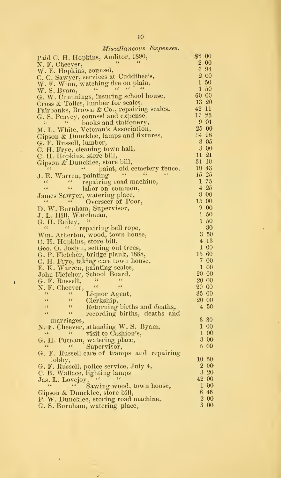| Miscellaneous Expenses.                                                 |                    |
|-------------------------------------------------------------------------|--------------------|
| Paid C. H. Hopkins, Auditor, 1890,                                      | \$200              |
| N. F. Cheever,                                                          | $2\,00$            |
| W. E. Hopkins, counsel,                                                 | 694                |
| C. C. Sawyer, services at Cuddihee's,                                   | 2 00               |
| W. F. Winn, watching fire on plain,                                     | 1 50               |
| $-66$<br>$\,$ 6 $\,$<br>66<br>W. S. Byam,                               | 1 50               |
| G. W. Cummings, insuring school house,                                  | 60 00              |
| Cross & Tolles, lumber for scales.                                      | 13 20              |
| Fairbanks, Brown & Co., repairing scales.                               | 42 11              |
| G. S. Peavey, counsel and expense,                                      | $17\,25$           |
| books and stationery,<br>66 <sup>2</sup>                                | 9 01               |
| M. L. White, Veteran's Association,                                     | 25 00              |
| Gipson $\&$ Duncklee, lamps and fixtures,                               | 34 98              |
| G. F. Russell, lumber,                                                  | 3 05               |
| C. H. Frve, cleaning town hall,                                         | 3 00               |
| C. H. Hopkins, store bill,                                              | $11\ \ 21$         |
| Gipson & Duncklee, store bill,                                          | 31<br>-10          |
| paint, old cemetery fence.<br>$66 -$                                    | 10 43              |
| J. E. Warren, painting a communication<br>$-66$                         | 15 25              |
| " repairing road machine,                                               | 1 75               |
| " labor on common,<br>66                                                | $4\,25$            |
| James Sawyer, watering place,<br>"Coverseer of Poor,                    | 3 00<br>15 00      |
|                                                                         | 9 00               |
| D. W. Burnham, Supervisor,                                              | 1 50               |
| J. L. Hill, Watchman,<br>66                                             | 150                |
| G. H. Reiley,<br>66<br>66<br>repairing bell rope,                       | 30                 |
| Wm. Atherton, wood, town house,                                         | $3\,50$            |
| C. H. Hopkins, store bill,                                              | 4 13               |
| Geo. O. Joslyn, setting out trees,                                      | 4 00               |
| G. P. Fletcher, bridge plank, 1888,                                     | $15\hphantom{,}60$ |
| C. H. Frye, taking care town house,                                     | 7 00               |
| E. K. Warren, painting scales,                                          | 1 00               |
| John Fletcher, School Board,                                            | 20 00              |
| G. F. Russell, "<br>66                                                  | 20 00              |
| $\,$ 4 $\,$<br>66<br>N. F. Cheever,                                     | $20\hskip 4pt 00$  |
| 66<br>66<br>Liquor Agent,                                               | 35 00              |
| Clerkship,<br>$66 -$<br>66                                              | 20 00              |
| 66<br>$\overline{6}$<br>Returning births and deaths,                    | 4 50               |
| $\,$ 4 $\,$ 4 $\,$<br>66<br>recording births, deaths and                |                    |
| marriages,                                                              | 3 30               |
| N. F. Cheever, attending W. S. Byam,                                    | 1 00               |
| 66<br>66<br>visit to Cashion's,                                         | 1 00               |
| G. H. Putnam, watering place,<br>66 <sup>°</sup>                        | 3 00<br>5 00       |
| 66<br>Supervisor,                                                       |                    |
| G. F. Russell care of tramps and repairing                              | 10 50              |
| lobby,                                                                  | $2\,00$            |
| G. F. Russell, police service, July 4,<br>C. B. Wallace, lighting lamps | 3 20               |
| 66<br>Jas. L. Lovejoy,                                                  | 42 00              |
| 66<br>Sawing wood, town house,                                          | 1 00               |
| Gipson & Duncklee, store bill,                                          | 6 46               |
| F. W. Duncklee, storing road machine,                                   | 2 00               |
| G. S. Burnham, watering place,                                          | 3 00               |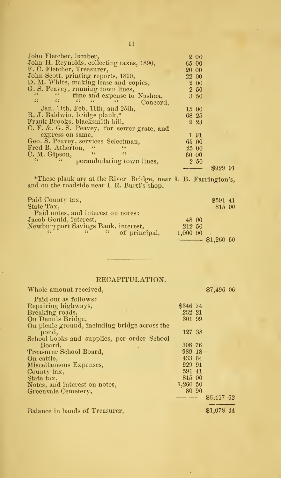| John Fletcher, lumber,                      | 2 0 0 |         |
|---------------------------------------------|-------|---------|
| John H. Reynolds, collecting taxes, 1890,   | 65 00 |         |
| F. C. Fletcher, Treasurer,                  | 20 00 |         |
| John Scott, printing reports, 1890,         | 22 00 |         |
| D. M. White, making lease and copies,       | 2 00  |         |
| G. S. Peavey, running town lines,           | 2 50  |         |
| " " time and expense to Nashua,             | 3 50  |         |
| Concord.                                    |       |         |
| Jan. 14th, Feb. 11th, and 25th,             | 15 00 |         |
| R. J. Baldwin, bridge plank,*               | 68 25 |         |
| Frank Brooks, blacksmith bill.              | 923   |         |
| C. F. &. G. S. Peavey, for sewer grate, and |       |         |
| express on same,                            | 191   |         |
| Geo. S. Peavey, services Selectman,         | 65 00 |         |
| Fred B. Atherton,<br>66<br>66               | 25 00 |         |
| $\sim$ 6.6 $\sim$<br>C. M. Gipson,<br>66    | 60 00 |         |
| perambulating town lines,                   | 2 50  |         |
|                                             |       | 8929 91 |

\*These plank are at the River Bridge, near I. B. Farrington's,<br>and on the roadside near I. R. Burtt's shop.

| Paid County tax,                    | \$591 41                 |  |
|-------------------------------------|--------------------------|--|
| State Tax.                          | 815 00                   |  |
| Paid notes, and interest on notes:  |                          |  |
| Jacob Gould, interest,              | 48 00                    |  |
| Newburyport Savings Bank, interest, | 212 50                   |  |
| " of principal,<br>66               | 1,000 00                 |  |
|                                     | $\frac{1}{1}$ \$1,260 50 |  |

#### RECAPITULATION.

| Whole amount received,                        |          | \$7,496 06 |  |
|-----------------------------------------------|----------|------------|--|
| Paid out as follows:                          |          |            |  |
| Repairing highways,                           | \$346 74 |            |  |
| Breaking roads,                               | 232 21   |            |  |
| On Dennis Bridge,                             | 301 99   |            |  |
| On picnic ground, including bridge across the |          |            |  |
| pond,                                         | 127 38   |            |  |
| School books and supplies, per order School   |          |            |  |
| Board,                                        | 308 76   |            |  |
| Treasurer School Board,                       | 989 18   |            |  |
| On cattle,                                    | 433 64   |            |  |
| Miscellaneous Expenses,                       | 929 91   |            |  |
| County tax,                                   | 591 41   |            |  |
| State tax,                                    | 815 00   |            |  |
| Notes, and interest on notes,                 | 1,260 50 |            |  |
| Greenvale Cemetery,                           | 80 90    |            |  |
|                                               |          | \$6,417 62 |  |
| Balance in hands of Treasurer,                |          | \$1,078 44 |  |

ł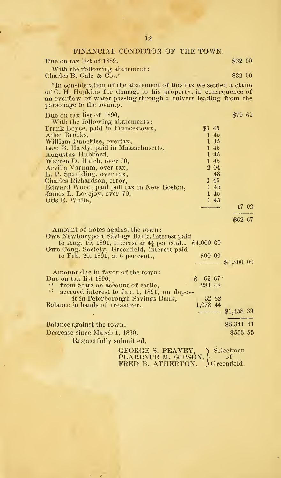| \$32 00<br>Due on tax list of 1889,<br>With the following abatement:<br>Charles B. Gale $& \mathrm{Co.},^*$<br>\$32 00<br>*In consideration of the abatement of this tax we settled a claim<br>of C. H. Hopkins for damage to his property, in consequence of<br>an overflow of water passing through a culvert leading from the<br>parsonage to the swamp.<br>Due on tax list of 1890,<br>\$79 69<br>With the following abatements:<br>Frank Boyce, paid in Francestown,<br>\$1,45<br>1 45<br>Allec Brooks, |
|--------------------------------------------------------------------------------------------------------------------------------------------------------------------------------------------------------------------------------------------------------------------------------------------------------------------------------------------------------------------------------------------------------------------------------------------------------------------------------------------------------------|
|                                                                                                                                                                                                                                                                                                                                                                                                                                                                                                              |
|                                                                                                                                                                                                                                                                                                                                                                                                                                                                                                              |
|                                                                                                                                                                                                                                                                                                                                                                                                                                                                                                              |
|                                                                                                                                                                                                                                                                                                                                                                                                                                                                                                              |
|                                                                                                                                                                                                                                                                                                                                                                                                                                                                                                              |
|                                                                                                                                                                                                                                                                                                                                                                                                                                                                                                              |
|                                                                                                                                                                                                                                                                                                                                                                                                                                                                                                              |
| William Duncklee, overtax,<br>1 45                                                                                                                                                                                                                                                                                                                                                                                                                                                                           |
| 1 45<br>Levi B. Hardy, paid in Massachusetts,                                                                                                                                                                                                                                                                                                                                                                                                                                                                |
| 1 45<br>Augustus Hubbard,<br>1 45<br>Warren D. Hatch, over 70,                                                                                                                                                                                                                                                                                                                                                                                                                                               |
| 2 04<br>Arvilla Varnum, over tax,                                                                                                                                                                                                                                                                                                                                                                                                                                                                            |
| 48<br>L. P. Spaulding, over tax,                                                                                                                                                                                                                                                                                                                                                                                                                                                                             |
| 145<br>Charles Richardson, error,                                                                                                                                                                                                                                                                                                                                                                                                                                                                            |
| Edward Wood, paid poll tax in New Boston,<br>1 45<br>James L. Lovejoy, over 70,<br>1 45                                                                                                                                                                                                                                                                                                                                                                                                                      |
| 1 45<br>Otis E. White,                                                                                                                                                                                                                                                                                                                                                                                                                                                                                       |
| $17\ \ 02$                                                                                                                                                                                                                                                                                                                                                                                                                                                                                                   |
| \$62 67                                                                                                                                                                                                                                                                                                                                                                                                                                                                                                      |
| Amount of notes against the town:                                                                                                                                                                                                                                                                                                                                                                                                                                                                            |
| Owe Newburyport Savings Bank, interest paid<br>to Aug. 10, 1891, interest at $4\frac{1}{4}$ per cent., \$4,000 00                                                                                                                                                                                                                                                                                                                                                                                            |
| Owe Cong. Society, Greenfield, interest paid                                                                                                                                                                                                                                                                                                                                                                                                                                                                 |
| 800 00<br>to Feb. 20, 1891, at 6 per cent.,                                                                                                                                                                                                                                                                                                                                                                                                                                                                  |
| $-$ \$4,800 00                                                                                                                                                                                                                                                                                                                                                                                                                                                                                               |
| Amount due in favor of the town:                                                                                                                                                                                                                                                                                                                                                                                                                                                                             |
| \$6267<br>Due on tax list 1890,<br>66.                                                                                                                                                                                                                                                                                                                                                                                                                                                                       |
| 284 48<br>from State on account of cattle,<br>66<br>accrued interest to Jan. 1, 1891, on depos-                                                                                                                                                                                                                                                                                                                                                                                                              |
| $32\ \ 82$<br>it in Peterborough Savings Bank,                                                                                                                                                                                                                                                                                                                                                                                                                                                               |
| 1,078 44<br>Balance in hands of treasurer,                                                                                                                                                                                                                                                                                                                                                                                                                                                                   |
| --- \$1,458 39                                                                                                                                                                                                                                                                                                                                                                                                                                                                                               |
| $$3,341$ 61<br>Balance against the town,                                                                                                                                                                                                                                                                                                                                                                                                                                                                     |
| \$553 55<br>Decrease since March 1, 1890,                                                                                                                                                                                                                                                                                                                                                                                                                                                                    |
| Respectfully submitted,                                                                                                                                                                                                                                                                                                                                                                                                                                                                                      |
| Selectmen<br>GEORGE S. PEAVEY,                                                                                                                                                                                                                                                                                                                                                                                                                                                                               |
| CLARENCE M. GIPSÓN,<br>- of<br>FRED B. ATHERTON,<br>Greenfield.                                                                                                                                                                                                                                                                                                                                                                                                                                              |

 $\bullet$  $\mathcal{L}_{\mathcal{A}}$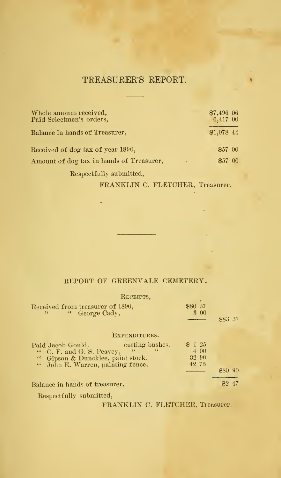#### TREASURER'S REPORT.

| Whole amount received,<br>Paid Selectmen's orders, |                | $$7,496$ 06<br>6,417 00 |
|----------------------------------------------------|----------------|-------------------------|
| Balance in hands of Treasurer,                     |                | \$1,078 44              |
| Received of dog tax of year 1890,                  |                | \$57 00                 |
| Amount of dog tax in hands of Treasurer,           | $\pmb{\delta}$ | \$57 00                 |

#### Respectfully submitted,

FRANKLIN C. FLETCHER, Treasurer.

#### REPORT OF GREENVALE CEMETERY.

| Received from treasurer of 1890,<br>" George Cady,<br>$66 - 1$                                                        | RECEIPTS,                                    | ٠<br>\$80 37<br>3 00              | \$83 37 |
|-----------------------------------------------------------------------------------------------------------------------|----------------------------------------------|-----------------------------------|---------|
| Paid Jacob Gould,<br>" C. F. and G. S. Peavey,<br>" Gipson & Duncklee, paint stock, " John E. Warren, painting fence, | EXPENDITURES.<br>cutting bushes.<br>66<br>66 | $$1\,25$<br>400<br>32 90<br>42 75 |         |

Balance in hands of treasurer,  $$2 \t47$ 

Respectfully submitted,

FRANKLIN C. FLETCHER, Treasurer.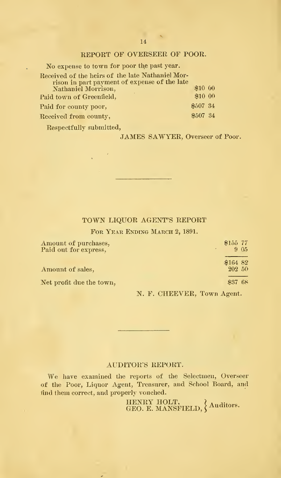| No expense to town for poor the past year.       |          |  |
|--------------------------------------------------|----------|--|
| Received of the heirs of the late Nathaniel Mor- |          |  |
| rison in part payment of expense of the late     |          |  |
| Nathaniel Morrison,                              | \$10 00  |  |
| Paid town of Greenfield,                         | \$10 00  |  |
| Paid for county poor,                            | \$507 34 |  |
| Received from county,                            | \$507 34 |  |
|                                                  |          |  |

Respectfully submitted,

JAMES SAWYER, Overseer of Poor,

#### TOWN LIQUOR AGENT'S REPORT

FOR YEAR ENDING MARCH 2, 1891.

| Amount of purchases,<br>Paid out for express, | \$155 77<br>905            |
|-----------------------------------------------|----------------------------|
|                                               | \$164 82                   |
| Amount of sales,                              | 202 50                     |
| Net profit due the town,                      | \$37 68                    |
|                                               | N. F. CHEEVER, Town Agent. |

#### AUDITOR'S REPORT.

We have examined the reports of the Selectmen, Overseer of the Poor, Liquor Agent, Treasurer, and School Board, and find them correct, and properly vouched.

HENRY HOLT,  $_{\text{GEO. E. MANSFIELD,}}$  Auditors.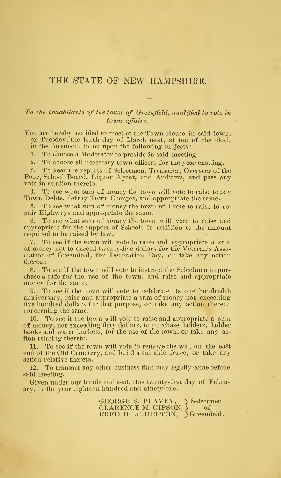#### THE STATE OF NEW HAMPSHIRE.

#### To the inhabitants of the town of Greenfield, qualified to vote in town affairs.

You are hereby notified to meet at the Town House in said town, on Tuesday, the tenth day of March next, at ten of the clock in the forenoon, to act upon the following subjects:

1. To choose a Moderator to preside in said meeting.

2. To choose all necessary town officers for the year ensuing.

3. To hear the reports of Selectmen, Treasurer, Overseer of the Poor, School Board, Liquor Agent, and Auditors, and pass any vote in relation thereto.

4. To see what sum of money the town will vote to raise to pay Town Debts, defray Town Charges, and appropriate the same.

5. To see what sum of money the town will vote to raise to re pair Highways and appropriate the same.

6. To see what sum of money the town will vote to raise and appropriate for the support of Schools in addition to the amount required to be raised by law.

7. To see if the town will vote to raise and appropriate a sum of money not to exceed tweuty-five dollars for the Veteran's Association of Greenfield, for Decoration Day, or take any action thereon

8. To see if the town will vote to instruct the Selectmen to purchase a safe for the use of the town, and raise and appropriate money for the same.

9. To see if the town will vote to celebrate its one hundredth anniversary, raise and appropriate a sum of money not exceeding five hundred dollars for that purpose, or take any action thereon concerning the same.

10. To see if the town will vote to raise and appropriate a sum of money, not exceeding fifty dollars, to purchase ladders, ladder hooks and water buckets, for the use of the town, or take any ac tion relating thereto.

11. To see if the town will vote to remove the wall on the ea§t end of the Old Cemetery, and build a suitable fence, or take any action relative thereto.

12. To transact any other business that may legally come before said meeting.

Given under our hands and seal, this twenty-first day of February, in the year eighteen hundred and ninety-one.

> GEORGE S. PEAVEY, ) Selectmen  $\text{CLASS} \xspace \in \text{C}$  M. GIPSON,  $\big\}$  of FRED B. ATHERTON,  $\big\}$  Greenfield.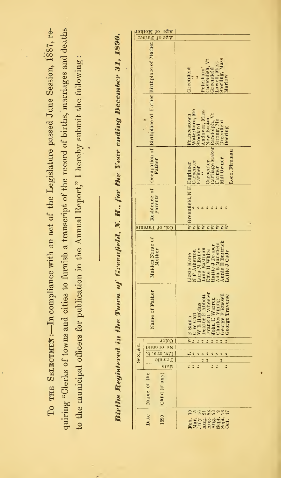|                                                                                               |                                                                                                           |                                                                                                |                                                                                            | 93A<br>Mother<br>10                                                                                                                                                                                                                                                                                                                                                                            |                                                                                                                     |
|-----------------------------------------------------------------------------------------------|-----------------------------------------------------------------------------------------------------------|------------------------------------------------------------------------------------------------|--------------------------------------------------------------------------------------------|------------------------------------------------------------------------------------------------------------------------------------------------------------------------------------------------------------------------------------------------------------------------------------------------------------------------------------------------------------------------------------------------|---------------------------------------------------------------------------------------------------------------------|
|                                                                                               |                                                                                                           |                                                                                                |                                                                                            | 926<br>ŢО                                                                                                                                                                                                                                                                                                                                                                                      |                                                                                                                     |
|                                                                                               |                                                                                                           |                                                                                                |                                                                                            |                                                                                                                                                                                                                                                                                                                                                                                                |                                                                                                                     |
|                                                                                               |                                                                                                           |                                                                                                |                                                                                            |                                                                                                                                                                                                                                                                                                                                                                                                |                                                                                                                     |
|                                                                                               |                                                                                                           |                                                                                                |                                                                                            |                                                                                                                                                                                                                                                                                                                                                                                                |                                                                                                                     |
|                                                                                               |                                                                                                           |                                                                                                |                                                                                            |                                                                                                                                                                                                                                                                                                                                                                                                |                                                                                                                     |
|                                                                                               |                                                                                                           |                                                                                                |                                                                                            |                                                                                                                                                                                                                                                                                                                                                                                                |                                                                                                                     |
|                                                                                               |                                                                                                           |                                                                                                |                                                                                            |                                                                                                                                                                                                                                                                                                                                                                                                | Greenfield                                                                                                          |
|                                                                                               |                                                                                                           |                                                                                                |                                                                                            |                                                                                                                                                                                                                                                                                                                                                                                                |                                                                                                                     |
|                                                                                               |                                                                                                           |                                                                                                |                                                                                            |                                                                                                                                                                                                                                                                                                                                                                                                |                                                                                                                     |
|                                                                                               |                                                                                                           |                                                                                                |                                                                                            |                                                                                                                                                                                                                                                                                                                                                                                                |                                                                                                                     |
|                                                                                               |                                                                                                           |                                                                                                |                                                                                            |                                                                                                                                                                                                                                                                                                                                                                                                |                                                                                                                     |
|                                                                                               |                                                                                                           |                                                                                                |                                                                                            |                                                                                                                                                                                                                                                                                                                                                                                                |                                                                                                                     |
|                                                                                               |                                                                                                           |                                                                                                |                                                                                            |                                                                                                                                                                                                                                                                                                                                                                                                |                                                                                                                     |
|                                                                                               |                                                                                                           |                                                                                                |                                                                                            |                                                                                                                                                                                                                                                                                                                                                                                                |                                                                                                                     |
|                                                                                               |                                                                                                           |                                                                                                |                                                                                            |                                                                                                                                                                                                                                                                                                                                                                                                | Francestown                                                                                                         |
|                                                                                               |                                                                                                           |                                                                                                |                                                                                            |                                                                                                                                                                                                                                                                                                                                                                                                |                                                                                                                     |
|                                                                                               |                                                                                                           |                                                                                                |                                                                                            |                                                                                                                                                                                                                                                                                                                                                                                                |                                                                                                                     |
|                                                                                               |                                                                                                           |                                                                                                |                                                                                            |                                                                                                                                                                                                                                                                                                                                                                                                |                                                                                                                     |
|                                                                                               |                                                                                                           |                                                                                                |                                                                                            |                                                                                                                                                                                                                                                                                                                                                                                                |                                                                                                                     |
|                                                                                               |                                                                                                           |                                                                                                |                                                                                            |                                                                                                                                                                                                                                                                                                                                                                                                |                                                                                                                     |
|                                                                                               |                                                                                                           |                                                                                                |                                                                                            |                                                                                                                                                                                                                                                                                                                                                                                                |                                                                                                                     |
|                                                                                               |                                                                                                           |                                                                                                |                                                                                            |                                                                                                                                                                                                                                                                                                                                                                                                |                                                                                                                     |
|                                                                                               |                                                                                                           |                                                                                                |                                                                                            |                                                                                                                                                                                                                                                                                                                                                                                                |                                                                                                                     |
|                                                                                               |                                                                                                           |                                                                                                |                                                                                            |                                                                                                                                                                                                                                                                                                                                                                                                |                                                                                                                     |
|                                                                                               |                                                                                                           |                                                                                                |                                                                                            |                                                                                                                                                                                                                                                                                                                                                                                                |                                                                                                                     |
|                                                                                               |                                                                                                           |                                                                                                |                                                                                            |                                                                                                                                                                                                                                                                                                                                                                                                |                                                                                                                     |
|                                                                                               |                                                                                                           |                                                                                                |                                                                                            |                                                                                                                                                                                                                                                                                                                                                                                                |                                                                                                                     |
|                                                                                               |                                                                                                           |                                                                                                |                                                                                            |                                                                                                                                                                                                                                                                                                                                                                                                |                                                                                                                     |
|                                                                                               |                                                                                                           |                                                                                                |                                                                                            |                                                                                                                                                                                                                                                                                                                                                                                                |                                                                                                                     |
|                                                                                               |                                                                                                           |                                                                                                |                                                                                            |                                                                                                                                                                                                                                                                                                                                                                                                |                                                                                                                     |
|                                                                                               |                                                                                                           |                                                                                                |                                                                                            |                                                                                                                                                                                                                                                                                                                                                                                                |                                                                                                                     |
|                                                                                               |                                                                                                           |                                                                                                |                                                                                            |                                                                                                                                                                                                                                                                                                                                                                                                |                                                                                                                     |
|                                                                                               |                                                                                                           |                                                                                                |                                                                                            | $\begin{bmatrix} \frac{20}{16} \\ \frac{10}{16} \\ \frac{10}{16} \end{bmatrix}$ Residence of $\begin{bmatrix} \frac{1}{16} \\ \frac{10}{16} \\ \frac{10}{16} \end{bmatrix}$ Residence of $\begin{bmatrix} \frac{1}{16} \\ \frac{10}{16} \\ \frac{10}{16} \end{bmatrix}$ Residence of $\begin{bmatrix} \frac{1}{16} \\ \frac{10}{16} \\ \frac{10}{16} \end{bmatrix}$<br>10<br>Co <sub>l</sub> . | w Greenfield, N H Engineer                                                                                          |
|                                                                                               |                                                                                                           |                                                                                                |                                                                                            |                                                                                                                                                                                                                                                                                                                                                                                                |                                                                                                                     |
|                                                                                               |                                                                                                           |                                                                                                |                                                                                            | Maiden Name of                                                                                                                                                                                                                                                                                                                                                                                 |                                                                                                                     |
|                                                                                               |                                                                                                           |                                                                                                |                                                                                            |                                                                                                                                                                                                                                                                                                                                                                                                |                                                                                                                     |
|                                                                                               |                                                                                                           |                                                                                                |                                                                                            |                                                                                                                                                                                                                                                                                                                                                                                                |                                                                                                                     |
|                                                                                               |                                                                                                           |                                                                                                |                                                                                            | Mother                                                                                                                                                                                                                                                                                                                                                                                         |                                                                                                                     |
|                                                                                               |                                                                                                           |                                                                                                |                                                                                            |                                                                                                                                                                                                                                                                                                                                                                                                |                                                                                                                     |
|                                                                                               |                                                                                                           |                                                                                                |                                                                                            |                                                                                                                                                                                                                                                                                                                                                                                                |                                                                                                                     |
|                                                                                               |                                                                                                           |                                                                                                |                                                                                            |                                                                                                                                                                                                                                                                                                                                                                                                | Lizzie Kane                                                                                                         |
|                                                                                               |                                                                                                           |                                                                                                |                                                                                            |                                                                                                                                                                                                                                                                                                                                                                                                |                                                                                                                     |
|                                                                                               |                                                                                                           |                                                                                                |                                                                                            |                                                                                                                                                                                                                                                                                                                                                                                                |                                                                                                                     |
|                                                                                               |                                                                                                           |                                                                                                |                                                                                            | Name of Father                                                                                                                                                                                                                                                                                                                                                                                 |                                                                                                                     |
|                                                                                               |                                                                                                           |                                                                                                |                                                                                            |                                                                                                                                                                                                                                                                                                                                                                                                |                                                                                                                     |
|                                                                                               |                                                                                                           |                                                                                                |                                                                                            |                                                                                                                                                                                                                                                                                                                                                                                                |                                                                                                                     |
|                                                                                               |                                                                                                           |                                                                                                |                                                                                            |                                                                                                                                                                                                                                                                                                                                                                                                |                                                                                                                     |
|                                                                                               |                                                                                                           |                                                                                                |                                                                                            |                                                                                                                                                                                                                                                                                                                                                                                                |                                                                                                                     |
|                                                                                               |                                                                                                           |                                                                                                |                                                                                            |                                                                                                                                                                                                                                                                                                                                                                                                |                                                                                                                     |
|                                                                                               |                                                                                                           |                                                                                                |                                                                                            |                                                                                                                                                                                                                                                                                                                                                                                                |                                                                                                                     |
|                                                                                               |                                                                                                           |                                                                                                |                                                                                            |                                                                                                                                                                                                                                                                                                                                                                                                |                                                                                                                     |
|                                                                                               |                                                                                                           |                                                                                                |                                                                                            | to o <mark>z</mark><br>10100                                                                                                                                                                                                                                                                                                                                                                   | $\left  \begin{array}{cc} \cdots & \cdots \end{array} \right $ $\left  \begin{array}{c} \cdots \end{array} \right $ |
|                                                                                               |                                                                                                           |                                                                                                |                                                                                            | of child                                                                                                                                                                                                                                                                                                                                                                                       |                                                                                                                     |
|                                                                                               |                                                                                                           |                                                                                                |                                                                                            | Sex, &c.                                                                                                                                                                                                                                                                                                                                                                                       |                                                                                                                     |
|                                                                                               |                                                                                                           |                                                                                                |                                                                                            |                                                                                                                                                                                                                                                                                                                                                                                                |                                                                                                                     |
|                                                                                               |                                                                                                           |                                                                                                |                                                                                            |                                                                                                                                                                                                                                                                                                                                                                                                |                                                                                                                     |
|                                                                                               |                                                                                                           |                                                                                                |                                                                                            |                                                                                                                                                                                                                                                                                                                                                                                                |                                                                                                                     |
|                                                                                               |                                                                                                           |                                                                                                |                                                                                            |                                                                                                                                                                                                                                                                                                                                                                                                |                                                                                                                     |
|                                                                                               |                                                                                                           |                                                                                                |                                                                                            |                                                                                                                                                                                                                                                                                                                                                                                                |                                                                                                                     |
|                                                                                               |                                                                                                           |                                                                                                |                                                                                            |                                                                                                                                                                                                                                                                                                                                                                                                |                                                                                                                     |
|                                                                                               |                                                                                                           |                                                                                                |                                                                                            |                                                                                                                                                                                                                                                                                                                                                                                                |                                                                                                                     |
|                                                                                               |                                                                                                           |                                                                                                |                                                                                            | Name of the                                                                                                                                                                                                                                                                                                                                                                                    |                                                                                                                     |
| To THE SELECTMEN:-In compliance with an act of the Legislature passed June Session, 1887, re- | quiring "Clerks of towns and cities to furnish a transcript of the record of births, marriages and deaths | to the municipal officers for publication in the Annual Report," I hereby submit the following | Births Registered in the Town of Greenfield, N. H., for the Year ending December 31, 1890. |                                                                                                                                                                                                                                                                                                                                                                                                |                                                                                                                     |
|                                                                                               |                                                                                                           |                                                                                                |                                                                                            | Date<br>1890                                                                                                                                                                                                                                                                                                                                                                                   | Web. 10                                                                                                             |
|                                                                                               |                                                                                                           |                                                                                                |                                                                                            |                                                                                                                                                                                                                                                                                                                                                                                                |                                                                                                                     |
|                                                                                               |                                                                                                           |                                                                                                |                                                                                            |                                                                                                                                                                                                                                                                                                                                                                                                |                                                                                                                     |

| $10~92\mathrm{\AA}$                                                                                                 |                                                                                                                                                        |
|---------------------------------------------------------------------------------------------------------------------|--------------------------------------------------------------------------------------------------------------------------------------------------------|
|                                                                                                                     |                                                                                                                                                        |
|                                                                                                                     |                                                                                                                                                        |
|                                                                                                                     |                                                                                                                                                        |
|                                                                                                                     | Cavendish, Vt<br>Greenfield<br>Lowell, Mass<br>Sterling, Mass<br>Marlow                                                                                |
|                                                                                                                     | Peterboro'<br>Greenfield                                                                                                                               |
|                                                                                                                     |                                                                                                                                                        |
|                                                                                                                     |                                                                                                                                                        |
|                                                                                                                     |                                                                                                                                                        |
|                                                                                                                     |                                                                                                                                                        |
|                                                                                                                     |                                                                                                                                                        |
|                                                                                                                     |                                                                                                                                                        |
|                                                                                                                     |                                                                                                                                                        |
|                                                                                                                     |                                                                                                                                                        |
|                                                                                                                     |                                                                                                                                                        |
|                                                                                                                     | Francestown<br>Waterboro, Me<br>Stoddard<br>Andover, Mass<br>Randolph, Vi<br><b>New Boston</b><br>strong, Me<br>Greenfield<br><b>Jeering</b>           |
|                                                                                                                     | Carriage Maker R<br>Farmer<br>Mill Owner                                                                                                               |
|                                                                                                                     |                                                                                                                                                        |
|                                                                                                                     | Loco. Fireman<br><b>Carpenter</b><br>Carpenter<br>Farmer                                                                                               |
|                                                                                                                     |                                                                                                                                                        |
|                                                                                                                     |                                                                                                                                                        |
|                                                                                                                     |                                                                                                                                                        |
| The<br>sidence of $\left $ Occupation of Birthplace of Father Birthplace of Mother<br>$\frac{1}{\alpha}$ is Rarents |                                                                                                                                                        |
|                                                                                                                     |                                                                                                                                                        |
|                                                                                                                     |                                                                                                                                                        |
|                                                                                                                     |                                                                                                                                                        |
|                                                                                                                     |                                                                                                                                                        |
| Parents<br>I <sub>0</sub><br>CoI                                                                                    | w Greenfield, N H Engineer<br>$\frac{1}{2}$<br>≽<br>Þ<br>Ϸ<br>$\overline{N}$<br>₩                                                                      |
|                                                                                                                     |                                                                                                                                                        |
|                                                                                                                     |                                                                                                                                                        |
|                                                                                                                     |                                                                                                                                                        |
|                                                                                                                     |                                                                                                                                                        |
|                                                                                                                     |                                                                                                                                                        |
|                                                                                                                     |                                                                                                                                                        |
| Maiden Name of<br>Mother                                                                                            | Annie E Buttrick<br>Aa E Manstield<br>lattie J Draper<br>Lizzie Kane<br>N F Atherton<br>Lura N Bailey<br>Jane Eastman<br>Effie H White<br>ettie J Cady |
|                                                                                                                     |                                                                                                                                                        |
|                                                                                                                     |                                                                                                                                                        |
|                                                                                                                     |                                                                                                                                                        |
|                                                                                                                     |                                                                                                                                                        |
|                                                                                                                     |                                                                                                                                                        |
|                                                                                                                     |                                                                                                                                                        |
| Name of Father                                                                                                      | Jexter F Abbott<br>' E Hopkins                                                                                                                         |
|                                                                                                                     | Frank H Wheeler<br>George F Russell<br>George Traverse<br><b>John E Warren</b><br>Charles Vining<br>$\frac{1}{2}$ Smith $\frac{1}{2}$ W Carl           |
| Color                                                                                                               | ś<br>š<br>š                                                                                                                                            |
| ŢΟ<br>0 <sub>N</sub><br>cyµp                                                                                        |                                                                                                                                                        |
| To . vil                                                                                                            | šš.<br>š                                                                                                                                               |
| Sex, &c.<br>Pemale                                                                                                  |                                                                                                                                                        |
| Male                                                                                                                |                                                                                                                                                        |
|                                                                                                                     |                                                                                                                                                        |
| Child (if $\text{any}$ )                                                                                            |                                                                                                                                                        |
|                                                                                                                     |                                                                                                                                                        |
|                                                                                                                     |                                                                                                                                                        |
| Name of the                                                                                                         |                                                                                                                                                        |
|                                                                                                                     | $\mathbf{a}$                                                                                                                                           |
| Date<br>1890                                                                                                        | 59588995                                                                                                                                               |
|                                                                                                                     | a<br>gazagaza                                                                                                                                          |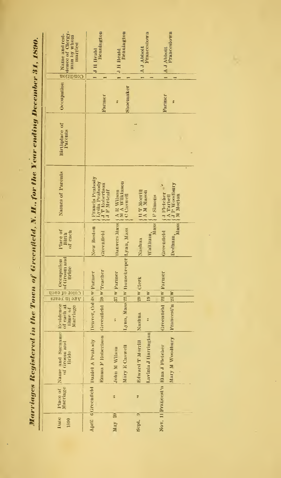Marriages Registered in the Town of Greenfield, N. H., for the Year ending December 31, 1890.

| $\begin{array}{l l} \hbox{Occupulation} & \hbox{\small $\begin{array}{l} \text{S} \\ \text{in} \text{} \text{value and rest} \end{array}$} \\ \hline \hbox{Hence of Gorgy-} \\ \hline \hbox{Hence of Gorgy-} \\ \hline \hbox{Hence of Gorgy-} \\ \hline \hbox{Hence of Gorgy-} \\ \hline \hbox{Hence of Gorgy-} \\ \hline \end{array}$} \end{array}$                                                                                                                              | Bennington<br>J II Heald                                                                                      | Benalagton<br><b>J H Heald</b>                                        | <b>Francestown</b><br>$ \Lambda J \Lambda$ bliolt | Francestown<br>$ \Lambda J \Lambda$ bbott                                                      |
|-----------------------------------------------------------------------------------------------------------------------------------------------------------------------------------------------------------------------------------------------------------------------------------------------------------------------------------------------------------------------------------------------------------------------------------------------------------------------------------|---------------------------------------------------------------------------------------------------------------|-----------------------------------------------------------------------|---------------------------------------------------|------------------------------------------------------------------------------------------------|
|                                                                                                                                                                                                                                                                                                                                                                                                                                                                                   | Farmer                                                                                                        | Shoemaker<br>š                                                        |                                                   | Parmer<br>ś                                                                                    |
| Birthplace of<br>Parents                                                                                                                                                                                                                                                                                                                                                                                                                                                          |                                                                                                               |                                                                       |                                                   |                                                                                                |
| Names of Parents                                                                                                                                                                                                                                                                                                                                                                                                                                                                  | New Boston   { Francis Peabody<br>Lydia Peabody<br>( J T Robertson<br>J F Meteulf                             | Danvers Mass   A R Wilson<br> -<br>  N A Wilkinson<br><b>CONSWell</b> | 11 T Morrill<br>  А М Мавоц<br>Mass   F Shnoms    | J P Woodbury<br>(d) Fleileher e"<br>M Morton<br>A Tarbell                                      |
| Place of<br>of each<br>Birth                                                                                                                                                                                                                                                                                                                                                                                                                                                      | Greenfield                                                                                                    |                                                                       | Waltham,<br>Nashua                                | $\left.\text{1000mm}\right\} \text{Muss} \left\vert \text{L}^{\star}\right\vert$<br>Greenfleld |
| 10 <sub>l</sub>                                                                                                                                                                                                                                                                                                                                                                                                                                                                   |                                                                                                               | Lynn, Mass 22 W Housekeeper Lynn, Mass<br>[37] W Parmer               | 29 W Clerk                                        |                                                                                                |
| Marriage                                                                                                                                                                                                                                                                                                                                                                                                                                                                          |                                                                                                               | š                                                                     | 19 W<br>Nashua<br>š                               | Greentleld 22 W Farmer<br>  Francest'n  21 W                                                   |
| $\begin{tabular}{ c c c c } \hline \textbf{Place of Name and Sturmale} & \textbf{[gevalence} & \textbf{g} & \textbf{g} \\ \hline \textbf{where } \textbf{a} & \textbf{a} & \textbf{Sturmale} & \textbf{[gevalence} & \textbf{g} & \textbf{g} \\ \hline \textbf{Martage} & \textbf{of } \textbf{G} \textbf{from and} & \textbf{of } \textbf{each} & \textbf{a} & \textbf{g} \\ \hline \textbf{Intra} & \textbf{of } \textbf{a} & \textbf{a} & \textbf{a} & \textbf{g} \\ \hline \$ | Emma F Robertson (Greenfleld [39] W Teacher<br>April Clitecanfield Daniel A Peabody  Denver, Coll48 Wilfarmer | <b>Mary E Caswell</b><br>John M Wilson                                | Lavinia J Harrington<br>Edward T Morrill          | Mary M Woodbury<br>Nov. 11 Francest'n Blan J Fletcher                                          |
|                                                                                                                                                                                                                                                                                                                                                                                                                                                                                   |                                                                                                               | ž                                                                     | ż                                                 |                                                                                                |
| Date<br>1890                                                                                                                                                                                                                                                                                                                                                                                                                                                                      |                                                                                                               | 20<br>May                                                             | Sept. 9                                           |                                                                                                |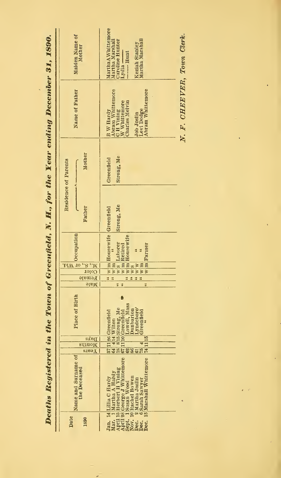**Deaths Registered in the Town of Greenfield, N. H., for the Year ending December 31, 1890.** 

| <b>Malden Name of</b><br>Mother                                        | <b>MarthaAWhittemore</b><br>Martha Marshall<br>Caroline Hunter<br>Keziah Stanley<br>Martha Marshall<br>Lydia ——                                                                                                                                                  |
|------------------------------------------------------------------------|------------------------------------------------------------------------------------------------------------------------------------------------------------------------------------------------------------------------------------------------------------------|
| Name of Father                                                         | B W Hardy<br>Abram Whittemore<br>Job Joslin<br>Levi Dodge<br>Abram Whittemore<br>$\begin{tabular}{l} \hline \textbf{C} & \textbf{W} & \textbf{v} \\ \hline \textbf{W} & \textbf{W} & \textbf{h} \\ \textbf{C} & \textbf{h} & \textbf{w} \\ \hline \end{tabular}$ |
| Mother<br>Residence of Parents                                         | Strong, Me<br>Greenfield                                                                                                                                                                                                                                         |
| Father                                                                 | Strong, Me                                                                                                                                                                                                                                                       |
|                                                                        | $\frac{1}{\alpha}$ w $\frac{1}{\alpha}$ Housewife Greenfield<br>wimiHousewife<br>s Laborer<br>w m Retired<br>$ w $ m $ $ Farmer                                                                                                                                  |
| $\overline{10}$<br>$\frac{W}{\sqrt{n}}$<br><b>piW</b><br>$\frac{1}{2}$ | W/m<br>×<br>$\frac{1}{2}$<br>ø<br>⊭                                                                                                                                                                                                                              |
| $_{\rm COJO}$<br><b>Fema</b><br>$\Theta$                               |                                                                                                                                                                                                                                                                  |
|                                                                        |                                                                                                                                                                                                                                                                  |
| Place of Birth                                                         | owell, Mass<br>kl4 Wilton<br>\$15 Strong, Me<br> 10 Greenfield<br>Dunbarton<br>Lyndeboro'<br>126 Greenfield<br>preenfield                                                                                                                                        |
| $_{\rm{g}\alpha\alpha}$<br>1uo W                                       |                                                                                                                                                                                                                                                                  |
|                                                                        |                                                                                                                                                                                                                                                                  |
| Name and Surname of<br>the Deceased                                    | 5 Marshall Whittemore<br>Jan. 14 Lillia C Hardy<br>April: 15 literatur 1 Vining<br>April 28 (eeorge J Whitemore 6<br>April 28 (eeorge J Whitemore 6<br>Nov. 1 Susan Noved<br>Dec. 2 Martha Josin<br>Dec. 15 Marsh Sal Writtemore<br>Dec. 15 Marsh Sal Writtemore |
| Date<br>1890                                                           |                                                                                                                                                                                                                                                                  |

×

N. F. CHEEVER, Town Clerk.

4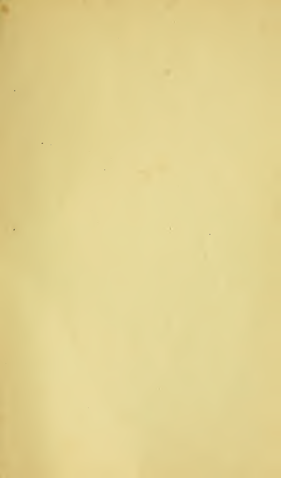

**SIMPLE WALLET** 

 $\epsilon$  .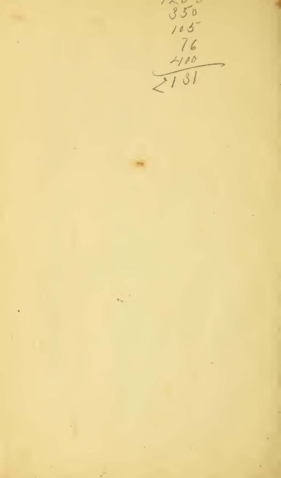$350$ 76  $2100$  $\mathcal{L}_{\mathcal{A}}$  $\hat{w}_{\text{eq},i}$ Ŷ,  $\mathcal{A}^{\mathcal{A}}$ Ŷ,  $\hat{\boldsymbol{\gamma}}$  $\mathcal{L}^{\mathcal{L}}(\mathcal{L})$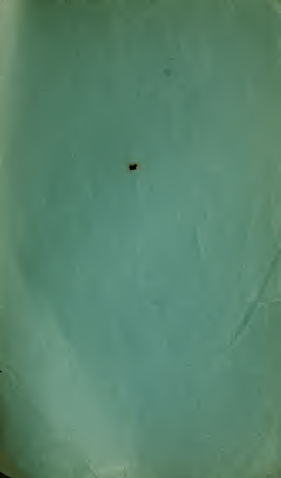